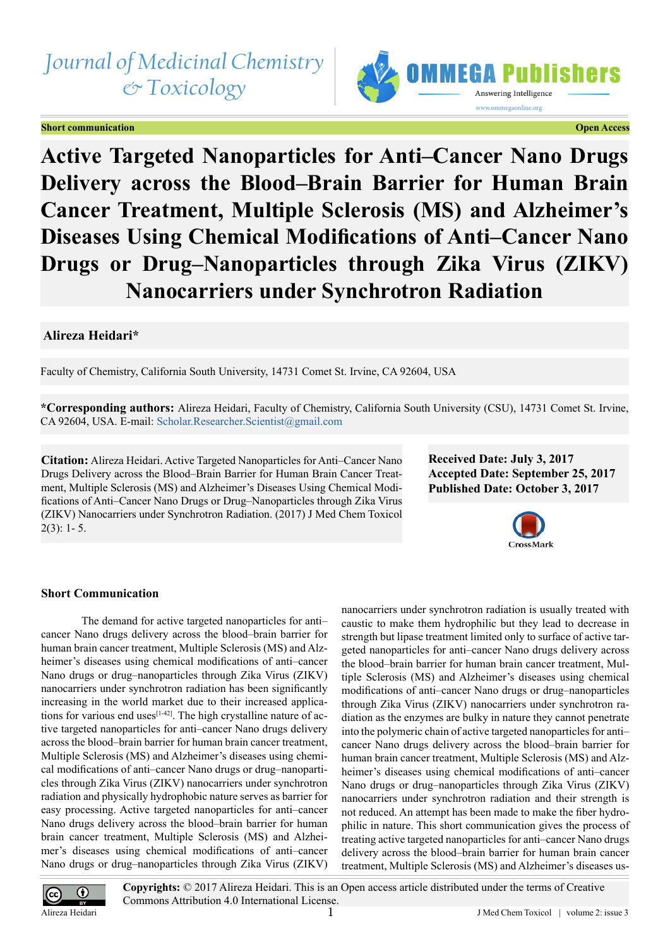# *Journal of Medicinal Chemistry & Toxicology*

# **Short communication Contraction Contraction Contraction Contraction Contraction Contraction Contraction Contraction**



**Active Targeted Nanoparticles for Anti–Cancer Nano Drugs Delivery across the Blood–Brain Barrier for Human Brain Cancer Treatment, Multiple Sclerosis (MS) and Alzheimer's Diseases Using Chemical Modifications of Anti–Cancer Nano Drugs or Drug–Nanoparticles through Zika Virus (ZIKV) Nanocarriers under Synchrotron Radiation**

# **Alireza Heidari\***

Faculty of Chemistry, California South University, 14731 Comet St. Irvine, CA 92604, USA

**\*Corresponding authors:** Alireza Heidari, Faculty of Chemistry, California South University (CSU), 14731 Comet St. Irvine, CA 92604, USA. E-mail: [Scholar.Researcher.Scientist@gmail.com](mailto:Scholar.Researcher.Scientist@gmail.com)

**Citation:** Alireza Heidari. Active Targeted Nanoparticles for Anti–Cancer Nano Drugs Delivery across the Blood–Brain Barrier for Human Brain Cancer Treatment, Multiple Sclerosis (MS) and Alzheimer's Diseases Using Chemical Modifications of Anti–Cancer Nano Drugs or Drug–Nanoparticles through Zika Virus (ZIKV) Nanocarriers under Synchrotron Radiation. (2017) J Med Chem Toxicol  $2(3): 1 - 5.$ 

**Received Date: July 3, 2017 Accepted Date: September 25, 2017 Published Date: October 3, 2017**



# **Short Communication**

The demand for active targeted nanoparticles for anti– cancer Nano drugs delivery across the blood–brain barrier for human brain cancer treatment, Multiple Sclerosis (MS) and Alzheimer's diseases using chemical modifications of anti–cancer Nano drugs or drug–nanoparticles through Zika Virus (ZIKV) nanocarriers under synchrotron radiation has been significantly increasing in the world market due to their increased applications for various end uses $[1-42]$ . The high crystalline nature of active targeted nanoparticles for anti–cancer Nano drugs delivery across the blood–brain barrier for human brain cancer treatment, Multiple Sclerosis (MS) and Alzheimer's diseases using chemical modifications of anti–cancer Nano drugs or drug–nanoparticles through Zika Virus (ZIKV) nanocarriers under synchrotron radiation and physically hydrophobic nature serves as barrier for easy processing. Active targeted nanoparticles for anti–cancer Nano drugs delivery across the blood–brain barrier for human brain cancer treatment, Multiple Sclerosis (MS) and Alzheimer's diseases using chemical modifications of anti–cancer Nano drugs or drug–nanoparticles through Zika Virus (ZIKV)

nanocarriers under synchrotron radiation is usually treated with caustic to make them hydrophilic but they lead to decrease in strength but lipase treatment limited only to surface of active targeted nanoparticles for anti–cancer Nano drugs delivery across the blood–brain barrier for human brain cancer treatment, Multiple Sclerosis (MS) and Alzheimer's diseases using chemical modifications of anti–cancer Nano drugs or drug–nanoparticles through Zika Virus (ZIKV) nanocarriers under synchrotron radiation as the enzymes are bulky in nature they cannot penetrate into the polymeric chain of active targeted nanoparticles for anti– cancer Nano drugs delivery across the blood–brain barrier for human brain cancer treatment, Multiple Sclerosis (MS) and Alzheimer's diseases using chemical modifications of anti–cancer Nano drugs or drug–nanoparticles through Zika Virus (ZIKV) nanocarriers under synchrotron radiation and their strength is not reduced. An attempt has been made to make the fiber hydrophilic in nature. This short communication gives the process of treating active targeted nanoparticles for anti–cancer Nano drugs delivery across the blood–brain barrier for human brain cancer treatment, Multiple Sclerosis (MS) and Alzheimer's diseases us-



**Copyrights:** © 2017 Alireza Heidari. This is an Open access article distributed under the terms of Creative Commons Attribution 4.0 International License.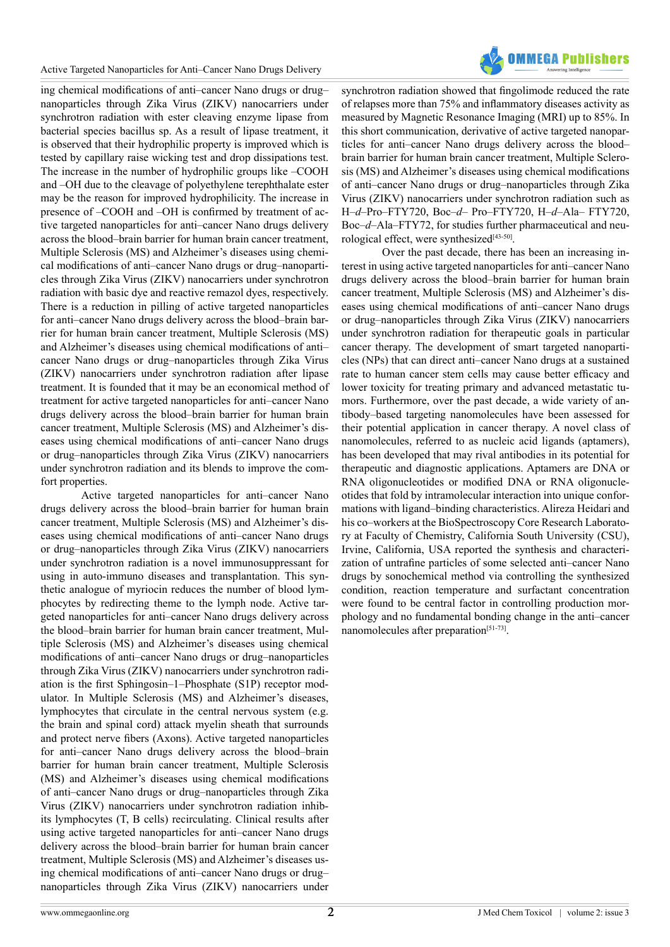

ing chemical modifications of anti–cancer Nano drugs or drug– nanoparticles through Zika Virus (ZIKV) nanocarriers under synchrotron radiation with ester cleaving enzyme lipase from bacterial species bacillus sp. As a result of lipase treatment, it is observed that their hydrophilic property is improved which is tested by capillary raise wicking test and drop dissipations test. The increase in the number of hydrophilic groups like –COOH and –OH due to the cleavage of polyethylene terephthalate ester may be the reason for improved hydrophilicity. The increase in presence of –COOH and –OH is confirmed by treatment of active targeted nanoparticles for anti–cancer Nano drugs delivery across the blood–brain barrier for human brain cancer treatment, Multiple Sclerosis (MS) and Alzheimer's diseases using chemical modifications of anti–cancer Nano drugs or drug–nanoparticles through Zika Virus (ZIKV) nanocarriers under synchrotron radiation with basic dye and reactive remazol dyes, respectively. There is a reduction in pilling of active targeted nanoparticles for anti–cancer Nano drugs delivery across the blood–brain barrier for human brain cancer treatment, Multiple Sclerosis (MS) and Alzheimer's diseases using chemical modifications of anti– cancer Nano drugs or drug–nanoparticles through Zika Virus (ZIKV) nanocarriers under synchrotron radiation after lipase treatment. It is founded that it may be an economical method of treatment for active targeted nanoparticles for anti–cancer Nano drugs delivery across the blood–brain barrier for human brain cancer treatment, Multiple Sclerosis (MS) and Alzheimer's diseases using chemical modifications of anti–cancer Nano drugs or drug–nanoparticles through Zika Virus (ZIKV) nanocarriers under synchrotron radiation and its blends to improve the comfort properties.

Active targeted nanoparticles for anti–cancer Nano drugs delivery across the blood–brain barrier for human brain cancer treatment, Multiple Sclerosis (MS) and Alzheimer's diseases using chemical modifications of anti–cancer Nano drugs or drug–nanoparticles through Zika Virus (ZIKV) nanocarriers under synchrotron radiation is a novel immunosuppressant for using in auto-immuno diseases and transplantation. This synthetic analogue of myriocin reduces the number of blood lymphocytes by redirecting theme to the lymph node. Active targeted nanoparticles for anti–cancer Nano drugs delivery across the blood–brain barrier for human brain cancer treatment, Multiple Sclerosis (MS) and Alzheimer's diseases using chemical modifications of anti–cancer Nano drugs or drug–nanoparticles through Zika Virus (ZIKV) nanocarriers under synchrotron radiation is the first Sphingosin–1–Phosphate (S1P) receptor modulator. In Multiple Sclerosis (MS) and Alzheimer's diseases, lymphocytes that circulate in the central nervous system (e.g. the brain and spinal cord) attack myelin sheath that surrounds and protect nerve fibers (Axons). Active targeted nanoparticles for anti–cancer Nano drugs delivery across the blood–brain barrier for human brain cancer treatment, Multiple Sclerosis (MS) and Alzheimer's diseases using chemical modifications of anti–cancer Nano drugs or drug–nanoparticles through Zika Virus (ZIKV) nanocarriers under synchrotron radiation inhibits lymphocytes (T, B cells) recirculating. Clinical results after using active targeted nanoparticles for anti–cancer Nano drugs delivery across the blood–brain barrier for human brain cancer treatment, Multiple Sclerosis (MS) and Alzheimer's diseases using chemical modifications of anti–cancer Nano drugs or drug– nanoparticles through Zika Virus (ZIKV) nanocarriers under

synchrotron radiation showed that fingolimode reduced the rate of relapses more than 75% and inflammatory diseases activity as measured by Magnetic Resonance Imaging (MRI) up to 85%. In this short communication, derivative of active targeted nanoparticles for anti–cancer Nano drugs delivery across the blood– brain barrier for human brain cancer treatment, Multiple Sclerosis (MS) and Alzheimer's diseases using chemical modifications of anti–cancer Nano drugs or drug–nanoparticles through Zika Virus (ZIKV) nanocarriers under synchrotron radiation such as H–*d*–Pro–FTY720, Boc–*d*– Pro–FTY720, H–*d*–Ala– FTY720, Boc–*d*–Ala–FTY72, for studies further pharmaceutical and neu-rological effect, were synthesized<sup>[\[43-50\]](#page-3-0)</sup>.

Over the past decade, there has been an increasing interest in using active targeted nanoparticles for anti–cancer Nano drugs delivery across the blood–brain barrier for human brain cancer treatment, Multiple Sclerosis (MS) and Alzheimer's diseases using chemical modifications of anti–cancer Nano drugs or drug–nanoparticles through Zika Virus (ZIKV) nanocarriers under synchrotron radiation for therapeutic goals in particular cancer therapy. The development of smart targeted nanoparticles (NPs) that can direct anti–cancer Nano drugs at a sustained rate to human cancer stem cells may cause better efficacy and lower toxicity for treating primary and advanced metastatic tumors. Furthermore, over the past decade, a wide variety of antibody–based targeting nanomolecules have been assessed for their potential application in cancer therapy. A novel class of nanomolecules, referred to as nucleic acid ligands (aptamers), has been developed that may rival antibodies in its potential for therapeutic and diagnostic applications. Aptamers are DNA or RNA oligonucleotides or modified DNA or RNA oligonucleotides that fold by intramolecular interaction into unique conformations with ligand–binding characteristics. Alireza Heidari and his co–workers at the BioSpectroscopy Core Research Laboratory at Faculty of Chemistry, California South University (CSU), Irvine, California, USA reported the synthesis and characterization of untrafine particles of some selected anti–cancer Nano drugs by sonochemical method via controlling the synthesized condition, reaction temperature and surfactant concentration were found to be central factor in controlling production morphology and no fundamental bonding change in the anti–cancer nanomolecules after preparation<sup>[51-73]</sup>.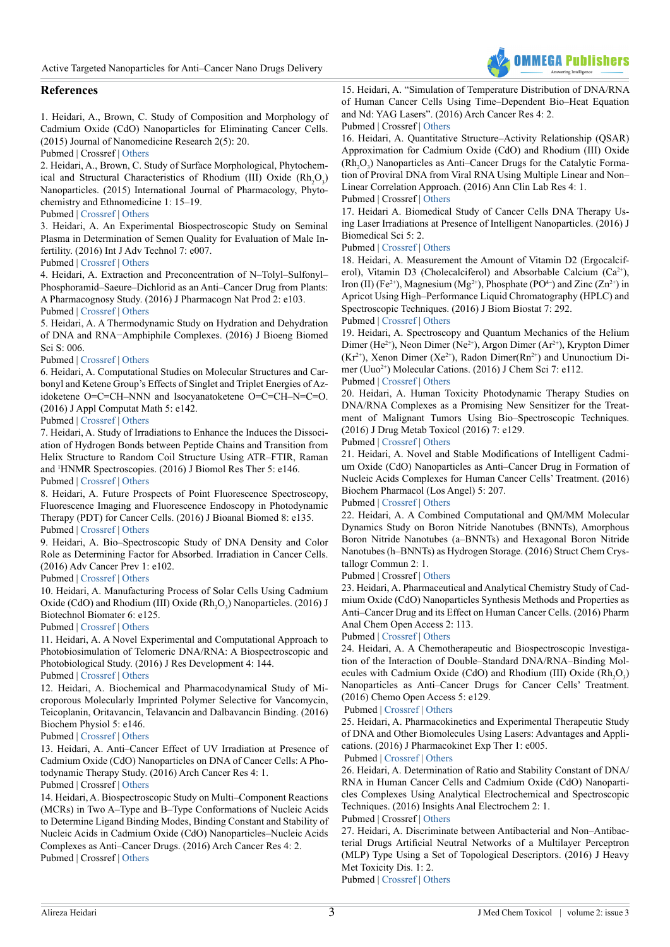

# **References**

<span id="page-2-0"></span>1. Heidari, A., Brown, C. Study of Composition and Morphology of Cadmium Oxide (CdO) Nanoparticles for Eliminating Cancer Cells. (2015) Journal of Nanomedicine Research 2(5): 20.

## Pubmed | Crossref | [Others](https://medcraveonline.com/JNMR/JNMR-02-00042.pdf)

2. Heidari, A., Brown, C. Study of Surface Morphological, Phytochemical and Structural Characteristics of Rhodium (III) Oxide  $(Rh_2O_3)$ Nanoparticles. (2015) International Journal of Pharmacology, Phytochemistry and Ethnomedicine 1: 15–19.

#### Pubmed | [Crossref](https://doi.org/10.18052/www.scipress.com/IJPPE.1.15) | [Others](https://www.scipress.com/IJPPE.1.15)

3. Heidari, A. An Experimental Biospectroscopic Study on Seminal Plasma in Determination of Semen Quality for Evaluation of Male Infertility. (2016) Int J Adv Technol 7: e007.

# Pubmed | [Crossref](https://doi.org/10.4172/0976-4860.1000e007) | [Others](https://www.omicsonline.org/open-access/an-experimental-biospectroscopic-study-on-seminal-plasma-in-determination-of-semen-quality-for-evaluation-of-male-infertility-0976-4860-1000e007.php?aid=70477)

4. Heidari, A. Extraction and Preconcentration of N–Tolyl–Sulfonyl– Phosphoramid–Saeure–Dichlorid as an Anti–Cancer Drug from Plants: A Pharmacognosy Study. (2016) J Pharmacogn Nat Prod 2: e103.

#### Pubmed | [Crossref](https://doi.org/10.4172/jpnp.1000e103) | [Others](https://www.omicsonline.org/open-access/extraction-and-preconcentration-of-ntolylsulfonylphosphoramidsaeuredichlorid-as-an-anticancer-drug-from-plants-a-pharmacognosystud-jpnp-1000e103.pdf)

5. Heidari, A. A Thermodynamic Study on Hydration and Dehydration of DNA and RNA−Amphiphile Complexes. (2016) J Bioeng Biomed Sci S: 006.

#### Pubmed | [Crossref](https://doi.org/10.4172/2155-9538.S3-006) | [Others](https://www.researchgate.net/publication/301310688_A_Thermodynamic_Study_on_Hydration_and_Dehydration_of_DNA_and_RNA_-Amphiphile_Complexes)

6. Heidari, A. Computational Studies on Molecular Structures and Carbonyl and Ketene Group's Effects of Singlet and Triplet Energies of Azidoketene O=C=CH–NNN and Isocyanatoketene O=C=CH–N=C=O. (2016) J Appl Computat Math 5: e142.

#### Pubmed | [Crossref](https://doi.org/10.4172/2168-9679.1000e142) | [Others](https://www.omicsgroup.org/journals/computational-studies-on-molecular-structures-and-carbonyl-and-ketenegroups-effects-of-singlet-and-triplet-energies-of-azidoketene-2168-9679-1000e142.php?aid=70355)

7. Heidari, A. Study of Irradiations to Enhance the Induces the Dissociation of Hydrogen Bonds between Peptide Chains and Transition from Helix Structure to Random Coil Structure Using ATR–FTIR, Raman and 1 HNMR Spectroscopies. (2016) J Biomol Res Ther 5: e146.

#### Pubmed | [Crossref](https://doi.org/10.4172/2167-7956.1000e146) | [Others](https://www.omicsgroup.org/journals/study-of-irradiations-to-enhance-the-induces-the-dissociation-ofhydrogen-bonds-between-peptide-chains-and-transition-from-helixstr-2167-7956-1000e146.php?aid=70649)

8. Heidari, A. Future Prospects of Point Fluorescence Spectroscopy, Fluorescence Imaging and Fluorescence Endoscopy in Photodynamic Therapy (PDT) for Cancer Cells. (2016) J Bioanal Biomed 8: e135. Pubmed | [Crossref](https://doi.org/10.4172/1948-593X.1000e135) | [Others](https://www.omicsonline.org/open-access/future-prospects-of-point-fluorescence-spectroscopy-fluorescenceimaging-and-fluorescence-endoscopy-in-photodynamic-therapy-pdt-for-1948-593X-1000e135.php?aid=70496)

9. Heidari, A. Bio–Spectroscopic Study of DNA Density and Color Role as Determining Factor for Absorbed. Irradiation in Cancer Cells. (2016) Adv Cancer Prev 1: e102.

#### Pubmed | [Crossref](https://doi.org/10.4172/acp.1000e102) | [Others](https://www.omicsonline.org/open-access/a-biospectroscopic-study-of-dna-density-and-color-role-as-determining-factor-for-absorbed-irradiation-in-cancer-cells-acp-1000e102.php?aid=71045)

10. Heidari, A. Manufacturing Process of Solar Cells Using Cadmium Oxide (CdO) and Rhodium (III) Oxide  $(Rh<sub>2</sub>O<sub>3</sub>)$  Nanoparticles. (2016) J Biotechnol Biomater 6: e125.

## Pubmed | [Crossref](https://doi.org/10.4172/2155-952X.1000e125) | [Others](https://www.omicsonline.org/open-access/manufacturing-process-of-solar-cells-using-cadmium-oxide-cdo-and-rhodium-iii-oxide-rh2o3-nanoparticles-2155-952X-1000e125.php?aid=71790)

11. Heidari, A. A Novel Experimental and Computational Approach to Photobiosimulation of Telomeric DNA/RNA: A Biospectroscopic and Photobiological Study. (2016) J Res Development 4: 144.

# Pubmed | [Crossref](https://doi.org/10.4172/2311-3278.1000144) | [Others](https://www.omicsonline.com/open-access/a-novel-experimental-and-computational-approach-to-photobiosimulation-of-telomeric-dnarna-a-biospectroscopic-and-photobiological-s-jrd-1000144.php?aid=71949)

12. Heidari, A. Biochemical and Pharmacodynamical Study of Microporous Molecularly Imprinted Polymer Selective for Vancomycin, Teicoplanin, Oritavancin, Telavancin and Dalbavancin Binding. (2016) Biochem Physiol 5: e146.

# Pubmed | [Crossref](https://doi.org/10.4172/2168-9652.1000e146) | [Others](https://www.omicsgroup.org/journals/biochemical-and-pharmacodynamical-study-of-microporous-molecularlyimprinted-polymer-selective-for-vancomycin-teicoplanin-oritavanc-2168-9652-1000e146.php?aid=70970)

13. Heidari, A. Anti–Cancer Effect of UV Irradiation at Presence of Cadmium Oxide (CdO) Nanoparticles on DNA of Cancer Cells: A Photodynamic Therapy Study. (2016) Arch Cancer Res 4: 1.

## Pubmed | Crossref | [Others](https://www.omicsonline.org/scholarly-articles/abstracts/anticancer-effect-of-uv-irradiation-at-presence-of-cadmium-oxide-cdo-nanoparticles-on-dna-of-cancer-cells-a-photodynamic-therapy-study-8876.html)

14. Heidari, A. Biospectroscopic Study on Multi–Component Reactions (MCRs) in Two A–Type and B–Type Conformations of Nucleic Acids to Determine Ligand Binding Modes, Binding Constant and Stability of Nucleic Acids in Cadmium Oxide (CdO) Nanoparticles–Nucleic Acids Complexes as Anti–Cancer Drugs. (2016) Arch Cancer Res 4: 2. Pubmed | Crossref | [Others](http://www.acanceresearch.com/cancer-research/biospectroscopic-study-on-multicomponent-reactions-mcrs-in-two-atype-and-btype-conformations-of-nucleic-acids-to-determine-ligand.php?aid=9093)

15. Heidari, A. "Simulation of Temperature Distribution of DNA/RNA of Human Cancer Cells Using Time–Dependent Bio–Heat Equation and Nd: YAG Lasers". (2016) Arch Cancer Res 4: 2. Pubmed | Crossref | [Others](http://www.acanceresearch.com/cancer-research/simulation-of-temperature-distribution-of-dnarna-of-human-cancer-cells-using-timedependent-bioheat-equation-andnd-yag-lasers.php?aid=9116)

16. Heidari, A. Quantitative Structure–Activity Relationship (QSAR) Approximation for Cadmium Oxide (CdO) and Rhodium (III) Oxide  $(Rh<sub>2</sub>O<sub>3</sub>)$  Nanoparticles as Anti–Cancer Drugs for the Catalytic Formation of Proviral DNA from Viral RNA Using Multiple Linear and Non– Linear Correlation Approach. (2016) Ann Clin Lab Res 4: 1. Pubmed | Crossref | [Others](http://www.aclr.com.es/clinical-research/quantitative-structureactivity-relationship-qsar-approximation-for-cadmium-oxide-cdo-and-rhodium-iii-oxide-rh2o3-nanoparticles-as.php?aid=8882)

# 17. Heidari A. Biomedical Study of Cancer Cells DNA Therapy Us-

ing Laser Irradiations at Presence of Intelligent Nanoparticles. (2016) J Biomedical Sci 5: 2.

### Pubmed | [Crossref](https://doi.org/10.4172/2254-609X.100023) | [Others](http://www.jbiomeds.com/biomedical-sciences/biomedical-study-of-cancer-cells-dna-therapy-using-laser-irradiations-at-presence-of-intelligent-nanoparticles.php?aid=9049)

18. Heidari, A. Measurement the Amount of Vitamin D2 (Ergocalciferol), Vitamin D3 (Cholecalciferol) and Absorbable Calcium  $(Ca^{2+})$ , Iron (II) (Fe<sup>2+</sup>), Magnesium (Mg<sup>2+</sup>), Phosphate (PO<sup>4-</sup>) and Zinc (Zn<sup>2+</sup>) in Apricot Using High–Performance Liquid Chromatography (HPLC) and Spectroscopic Techniques. (2016) J Biom Biostat 7: 292.

# Pubmed | [Crossref](https://doi.org/10.4172/2155-6180.1000292) | [Others](https://www.omicsonline.org/open-access/measurement-the-amount-of-vitamin-d2-ergocalciferol-vitamin-d3cholecalciferol-and-absorbable-calcium-ca2-iron-ii-fe2magnesium-mg2-2155-6180-1000292.php?aid=72126)

19. Heidari, A. Spectroscopy and Quantum Mechanics of the Helium Dimer (He<sup>2+</sup>), Neon Dimer (Ne<sup>2+</sup>), Argon Dimer (Ar<sup>2+</sup>), Krypton Dimer  $(Kr^{2+})$ , Xenon Dimer (Xe<sup>2+</sup>), Radon Dimer(Rn<sup>2+</sup>) and Ununoctium Dimer (Uuo<sup>2+</sup>) Molecular Cations. (2016) J Chem Sci 7: e112. Pubmed | [Crossref](https://doi.org/10.4172/2150-3494.1000e112) | [Others](https://www.omicsonline.com/open-access/spectroscopy-and-quantum-mechanics-of-the-helium-dimer-he2-neon-dimer-ne2-argon-dimer-ar2-krypton-dimer-kr2-xenon-dimer-xe2-radon-2150-3494-1000e112.php?aid=72392)

20. Heidari, A. Human Toxicity Photodynamic Therapy Studies on DNA/RNA Complexes as a Promising New Sensitizer for the Treatment of Malignant Tumors Using Bio–Spectroscopic Techniques. (2016) J Drug Metab Toxicol (2016) 7: e129.

### Pubmed | [Crossref](https://doi.org/10.4172/2157-7609.1000e129) | [Others](https://www.omicsonline.org/open-access/human-toxicity-photodynamic-therapy-studies-on-dnarna-complexesas-a-promising-new-sensitizer-for-the-treatment-of-malignant-tumors-2157-7609-1000e129.php?aid=73041)

21. Heidari, A. Novel and Stable Modifications of Intelligent Cadmium Oxide (CdO) Nanoparticles as Anti–Cancer Drug in Formation of Nucleic Acids Complexes for Human Cancer Cells' Treatment. (2016) Biochem Pharmacol (Los Angel) 5: 207.

# Pubmed | [Crossref](https://doi.org/10.4172/2167-0501.1000207) | [Others](https://www.omicsgroup.org/journals/novel-and-stable-modifications-of-intelligent-cadmium-oxide-cdonanoparticles-as-anticancer-drug-in-formation-of-nucleic-acidscompl-2167-0501-1000207.php?aid=73082)

22. Heidari, A. A Combined Computational and QM/MM Molecular Dynamics Study on Boron Nitride Nanotubes (BNNTs), Amorphous Boron Nitride Nanotubes (a–BNNTs) and Hexagonal Boron Nitride Nanotubes (h–BNNTs) as Hydrogen Storage. (2016) Struct Chem Crystallogr Commun 2: 1.

## Pubmed | Crossref | [Others](http://structural-crystallography.imedpub.com/a-combined-computational-and-qmmmmolecular-dynamics-study-on-boron-nitridenanotubes-bnnts-amorphous-boronnitride-nanotubes-abnnts.php?aid=9371)

23. Heidari, A. Pharmaceutical and Analytical Chemistry Study of Cadmium Oxide (CdO) Nanoparticles Synthesis Methods and Properties as Anti–Cancer Drug and its Effect on Human Cancer Cells. (2016) Pharm Anal Chem Open Access 2: 113.

#### Pubmed | [Crossref](https://doi.org/10.4172/2471-2698.1000113) | [Others](https://www.omicsonline.org/open-access/pharmaceutical-and-analytical-chemistry-study-of-cadmium-oxide-cdonanoparticles-synthesis-methods-and-properties-as-anticancer-dru-2471-2698-1000113.php?aid=73658)

24. Heidari, A. A Chemotherapeutic and Biospectroscopic Investigation of the Interaction of Double–Standard DNA/RNA–Binding Molecules with Cadmium Oxide (CdO) and Rhodium (III) Oxide  $(Rh_2O_3)$ Nanoparticles as Anti–Cancer Drugs for Cancer Cells' Treatment. (2016) Chemo Open Access 5: e129.

## Pubmed | [Crossref](https://doi.org/10.4172/2167-7700.1000e129) | [Others](https://www.omicsgroup.org/journals/a-chemotherapeutic-and-biospectroscopic-investigation-of-the-interaction-of-doublestandard-dnarnabinding-molecules-with-cadmium-ox-2167-7700-1000e129.php?aid=73647)

25. Heidari, A. Pharmacokinetics and Experimental Therapeutic Study of DNA and Other Biomolecules Using Lasers: Advantages and Applications. (2016) J Pharmacokinet Exp Ther 1: e005.

#### Pubmed | [Crossref](https://www.omicsgroup.org/journals/a-chemotherapeutic-and-biospectroscopic-investigation-of-the-interaction-of-doublestandard-dnarnabinding-molecules-with-cadmium-ox-2167-7700-1000e129.php?aid=73647) | [Others](https://www.omicsgroup.org/journals/pharmacokinetics-and-experimental-therapeutic-study-of-dna-and-otherbiomolecules-using-lasers-advantages-and-applications-jpet-1000e005.php?aid=73561)

26. Heidari, A. Determination of Ratio and Stability Constant of DNA/ RNA in Human Cancer Cells and Cadmium Oxide (CdO) Nanoparticles Complexes Using Analytical Electrochemical and Spectroscopic Techniques. (2016) Insights Anal Electrochem 2: 1.

# Pubmed | Crossref | [Others](http://electroanalytical.imedpub.com/determination-of-ratio-and-stability-constant-of-dnarna-in-human-cancer-cells-and-cadmium-oxide-cdo-nanoparticles-complexes-using.php?aid=9416)

27. Heidari, A. Discriminate between Antibacterial and Non–Antibacterial Drugs Artificial Neutral Networks of a Multilayer Perceptron (MLP) Type Using a Set of Topological Descriptors. (2016) J Heavy Met Toxicity Dis. 1: 2.

Pubmed | [Crossref](https://doi.org/10.1021/ci030340e) | [Others](http://pubs.acs.org/doi/abs/10.1021/ci030340e)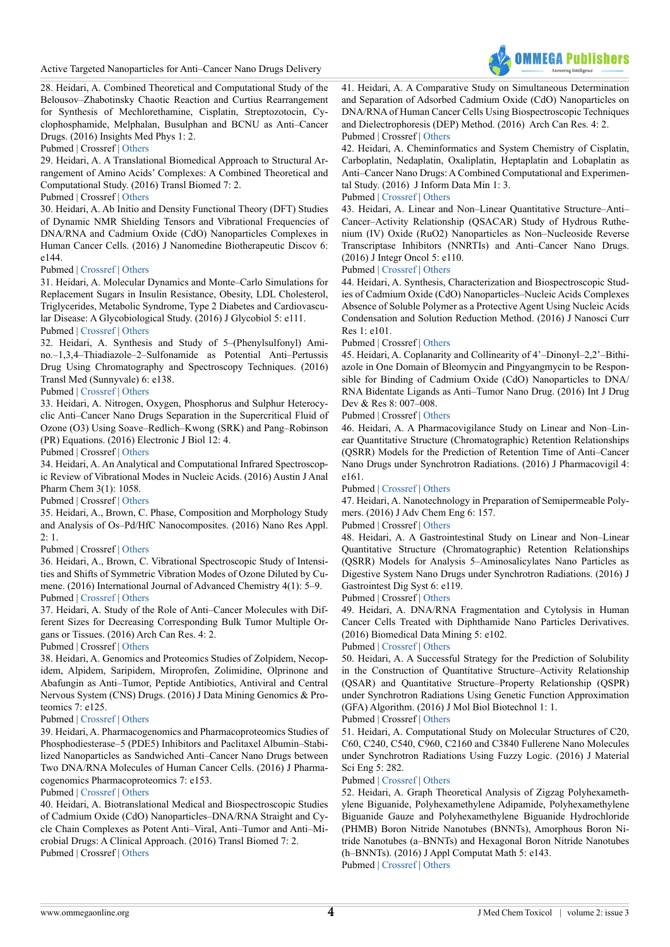Active Targeted Nanoparticles for Anti–Cancer Nano Drugs Delivery



28. Heidari, A. Combined Theoretical and Computational Study of the Belousov–Zhabotinsky Chaotic Reaction and Curtius Rearrangement for Synthesis of Mechlorethamine, Cisplatin, Streptozotocin, Cyclophosphamide, Melphalan, Busulphan and BCNU as Anti–Cancer Drugs. (2016) Insights Med Phys 1: 2.

Pubmed | Crossref | [Others](https://medicalphysics.imedpub.com/combined-theoretical-and-computationalstudy-of-the-belousovzhabotinsky-chaoticreaction-and-curtius-rearrangement-forsynthesis-of-m.pdf
)

29. Heidari, A. A Translational Biomedical Approach to Structural Arrangement of Amino Acids' Complexes: A Combined Theoretical and Computational Study. (2016) Transl Biomed 7: 2.

# Pubmed | Crossref | [Others](http://www.transbiomedicine.com/translational-biomedicine/a-translational-biomedical-approach-to-structural-arrangement-of-amino-acids-complexes-a-combined-theoretical-and-computational-st.php?aid=9653)

30. Heidari, A. Ab Initio and Density Functional Theory (DFT) Studies of Dynamic NMR Shielding Tensors and Vibrational Frequencies of DNA/RNA and Cadmium Oxide (CdO) Nanoparticles Complexes in Human Cancer Cells. (2016) J Nanomedine Biotherapeutic Discov 6: e144.

# Pubmed | [Crossref](https://doi.org/10.4172/2155-983X.1000e144) | [Others](https://www.omicsonline.org/open-access/ab-initio-and-density-functional-theory-dft-studies-of-dynamic-nmrshielding-tensors-and-vibrational-frequencies-of-dnarna-andcadmi-2155-983X-1000e144.php?aid=74217)

31. Heidari, A. Molecular Dynamics and Monte–Carlo Simulations for Replacement Sugars in Insulin Resistance, Obesity, LDL Cholesterol, Triglycerides, Metabolic Syndrome, Type 2 Diabetes and Cardiovascular Disease: A Glycobiological Study. (2016) J Glycobiol 5: e111. Pubmed | [Crossref](https://doi.org/10.4172/2168-958X.1000e111) | [Others](https://www.omicsgroup.org/journals/molecular-dynamics-and-montecarlo-simulations-for-replacement-sugars-ininsulin-resistance-obesity-ldl-cholesterol-triglycerides-me-2168-958X-1000e111.php?aid=74707)

32. Heidari, A. Synthesis and Study of 5–(Phenylsulfonyl) Amino.–1,3,4–Thiadiazole–2–Sulfonamide as Potential Anti–Pertussis Drug Using Chromatography and Spectroscopy Techniques. (2016) Transl Med (Sunnyvale) 6: e138.

# Pubmed | [Crossref](https://doi.org/ 10.4172/2161-1025.1000e137) | [Others](https://www.omicsonline.org/open-access/synthesis-and-study-of-5phenylsulfonylamino134thiadiazole2sulfonamide-as-potential-antipertussis-drug-using-chromatography-and-spe-2161-1025-1000e137.php?aid=75143)

33. Heidari, A. Nitrogen, Oxygen, Phosphorus and Sulphur Heterocyclic Anti–Cancer Nano Drugs Separation in the Supercritical Fluid of Ozone (O3) Using Soave–Redlich–Kwong (SRK) and Pang–Robinson (PR) Equations. (2016) Electronic J Biol 12: 4.

Pubmed | Crossref | [Others](http://ejbio.imedpub.com/nitrogen-oxygen-phosphorus-and-sulphur-heterocyclicanti-cancer-nano-drugs-separation-in-the-supercritical-fluidof-ozone-o3-using-s.php?aid=9768)

34. Heidari, A. An Analytical and Computational Infrared Spectroscopic Review of Vibrational Modes in Nucleic Acids. (2016) Austin J Anal Pharm Chem 3(1): 1058.

Pubmed | Crossref | [Others](http://austinpublishinggroup.com/analytical-pharmaceutical-chemistry/download.php?file=fulltext/ajapc-v3-id1058.pdf)

35. Heidari, A., Brown, C. Phase, Composition and Morphology Study and Analysis of Os–Pd/HfC Nanocomposites. (2016) Nano Res Appl.  $2:1.$ 

# Pubmed | Crossref | [Others](http://nanotechnology.imedpub.com/phase-composition-and-morphology-study-and-analysis-of-ospdhfc-nanocomposites.php?aid=9059)

36. Heidari, A., Brown, C. Vibrational Spectroscopic Study of Intensities and Shifts of Symmetric Vibration Modes of Ozone Diluted by Cumene. (2016) International Journal of Advanced Chemistry 4(1): 5–9. Pubmed | [Crossref](http://dx.doi.org/10.14419/ijac.v4i1.6080) | [Others](https://www.sciencepubco.com/index.php/IJAC/article/view/6080
)

37. Heidari, A. Study of the Role of Anti–Cancer Molecules with Different Sizes for Decreasing Corresponding Bulk Tumor Multiple Organs or Tissues. (2016) Arch Can Res. 4: 2.

# Pubmed | Crossref | [Others](http://www.acanceresearch.com/cancer-research/study-of-the-role-of-anticancer-molecules-with-different-sizes-for-decreasing-corresponding-bulk-tumor-multiple-organs-or-tissues.php?aid=9809)

38. Heidari, A. Genomics and Proteomics Studies of Zolpidem, Necopidem, Alpidem, Saripidem, Miroprofen, Zolimidine, Olprinone and Abafungin as Anti–Tumor, Peptide Antibiotics, Antiviral and Central Nervous System (CNS) Drugs. (2016) J Data Mining Genomics & Proteomics 7: e125.

## Pubmed | [Crossref](https://doi.org/10.4172/2153-0602.1000e125) | [Others](https://www.omicsonline.org/open-access/genomics-and-proteomics-studies-of-zolpidem-necopidem-alpidem-saripidem-miroprofen-zolimidine-olprinone-and-abafungin-as-antitumor-2153-0602-1000e125.php?aid=75982)

39. Heidari, A. Pharmacogenomics and Pharmacoproteomics Studies of Phosphodiesterase–5 (PDE5) Inhibitors and Paclitaxel Albumin–Stabilized Nanoparticles as Sandwiched Anti–Cancer Nano Drugs between Two DNA/RNA Molecules of Human Cancer Cells. (2016) J Pharmacogenomics Pharmacoproteomics 7: e153.

## Pubmed | [Crossref](https://doi.org/10.4172/2153-0645.1000e153) | [Others](https://www.omicsonline.org/open-access/pharmacogenomics-and-pharmacoproteomics-studies-ofphosphodiesterase5-pde5-inhibitors-and-paclitaxel-albuminstabilizednanoparticles-2153-0645-1000e153.php?aid=75985&view=mobile)

40. Heidari, A. Biotranslational Medical and Biospectroscopic Studies of Cadmium Oxide (CdO) Nanoparticles–DNA/RNA Straight and Cycle Chain Complexes as Potent Anti–Viral, Anti–Tumor and Anti–Microbial Drugs: A Clinical Approach. (2016) Transl Biomed 7: 2. Pubmed | Crossref | [Others](http://www.transbiomedicine.com/translational-biomedicine/biotranslational-medical-and-biospectroscopic-studies-of-cadmium-oxidecdo-nanoparticlesdnarna-straight-and-cycle-chain-complexes-a.php?aid=9835)

41. Heidari, A. A Comparative Study on Simultaneous Determination and Separation of Adsorbed Cadmium Oxide (CdO) Nanoparticles on DNA/RNA of Human Cancer Cells Using Biospectroscopic Techniques and Dielectrophoresis (DEP) Method. (2016) Arch Can Res. 4: 2. Pubmed | Crossref | [Others](http://www.acanceresearch.com/cancer-research/a-comparative-study-on-simultaneous-determination-and-separation-of-adsorbed-cadmium-oxide-cdo-nanoparticles-on-dnarna-of-human-ca.php?aid=9862)

# 42. Heidari, A. Cheminformatics and System Chemistry of Cisplatin, Carboplatin, Nedaplatin, Oxaliplatin, Heptaplatin and Lobaplatin as Anti–Cancer Nano Drugs: A Combined Computational and Experimental Study. (2016) J Inform Data Min 1: 3.

#### Pubmed | [Crossref](https://doi.org/10.21767/2472-1956.100015) | [Others](http://datamining.imedpub.com/cheminformatics-and-system-chemistry-of-cisplatin-carboplatin-nedaplatinoxaliplatin-heptaplatin-and-lobaplatin-as-anticancer-nano.php?aid=9880)

<span id="page-3-0"></span>43. Heidari, A. Linear and Non–Linear Quantitative Structure–Anti– Cancer–Activity Relationship (QSACAR) Study of Hydrous Ruthenium (IV) Oxide (RuO2) Nanoparticles as Non–Nucleoside Reverse Transcriptase Inhibitors (NNRTIs) and Anti–Cancer Nano Drugs. (2016) J Integr Oncol 5: e110.

#### Pubmed | [Crossref](https://doi.org/10.4172/2329-6771.1000e110) | [Others](https://www.omicsgroup.org/journals/linear-and-nonlinear-quantitative-structureanticanceractivityrelationship-qsacar-study-of-hydrous-ruthenium-iv-oxide-ruo2nanoparti-2329-6771-1000e110.php?aid=76867)

44. Heidari, A. Synthesis, Characterization and Biospectroscopic Studies of Cadmium Oxide (CdO) Nanoparticles–Nucleic Acids Complexes Absence of Soluble Polymer as a Protective Agent Using Nucleic Acids Condensation and Solution Reduction Method. (2016) J Nanosci Curr Res 1: e101.

## Pubmed | Crossref | [Others](https://www.omicsonline.org/open-access/synthesis-characterization-and-biospectroscopic-studies-of-cadmium-oxide-cdo-nanoparticles-nucleic-acids-complexes-absence-of-solu-JNCR-1000103.php?aid=76885
)

45. Heidari, A. Coplanarity and Collinearity of 4'–Dinonyl–2,2'–Bithiazole in One Domain of Bleomycin and Pingyangmycin to be Responsible for Binding of Cadmium Oxide (CdO) Nanoparticles to DNA/ RNA Bidentate Ligands as Anti–Tumor Nano Drug. (2016) Int J Drug Dev & Res 8: 007–008.

#### Pubmed | Crossref | [Others](http://www.ijddr.in/drug-development/coplanarity-and-collinearity-of-4dinonyl22bithiazole-in-one-domain-of-bleomycin-and-pingyangmycin-to-be-responsible-for-bindingof.php?aid=9938)

46. Heidari, A. A Pharmacovigilance Study on Linear and Non–Linear Quantitative Structure (Chromatographic) Retention Relationships (QSRR) Models for the Prediction of Retention Time of Anti–Cancer Nano Drugs under Synchrotron Radiations. (2016) J Pharmacovigil 4: e161.

## Pubmed | [Crossref](https://doi.org/10.4172/2329-6887.1000e161) | [Others](https://www.omicsonline.org/open-access/a-pharmacovigilance-study-on-linear-and-nonlinear-quantitativestructure-chromatographic-retention-relationships-qsrr-models-forthe-2329-6887-1000e161.php?aid=78376)

47. Heidari, A. Nanotechnology in Preparation of Semipermeable Polymers. (2016) J Adv Chem Eng 6: 157.

# Pubmed | Crossref | [Others](https://www.omicsonline.com/open-access/nanotechnology-in-preparation-of-semipermeable-polymers-2090-4568-1000157.php?aid=78336)

48. Heidari, A. A Gastrointestinal Study on Linear and Non–Linear Quantitative Structure (Chromatographic) Retention Relationships (QSRR) Models for Analysis 5–Aminosalicylates Nano Particles as Digestive System Nano Drugs under Synchrotron Radiations. (2016) J Gastrointest Dig Syst 6: e119.

#### Pubmed | Crossref | [Others](https://www.omicsonline.com/open-access/nanotechnology-in-preparation-of-semipermeable-polymers-2090-4568-1000157.php?aid=78336)

49. Heidari, A. DNA/RNA Fragmentation and Cytolysis in Human Cancer Cells Treated with Diphthamide Nano Particles Derivatives. (2016) Biomedical Data Mining 5: e102.

## Pubmed | [Crossref](https://doi.org/10.4172/2090-4924.1000e102) | [Others](https://www.omicsonline.com/open-access/dnarna-fragmentation-and-cytolysis-in-human-cancer-cells-treatedwith-diphthamide-nano-particles-derivatives-2090-4924-1000e102.php?aid=79143)

50. Heidari, A. A Successful Strategy for the Prediction of Solubility in the Construction of Quantitative Structure–Activity Relationship (QSAR) and Quantitative Structure–Property Relationship (QSPR) under Synchrotron Radiations Using Genetic Function Approximation (GFA) Algorithm. (2016) J Mol Biol Biotechnol 1: 1.

#### Pubmed | Crossref | [Others](http://www.imedpub.com/articles/a-successful-strategy-for-the-prediction-of-solubility-in-the-construction-of-quantitative-structureactivity-relationship-qsar-and.php?aid=17247)

<span id="page-3-1"></span>51. Heidari, A. Computational Study on Molecular Structures of C20, C60, C240, C540, C960, C2160 and C3840 Fullerene Nano Molecules under Synchrotron Radiations Using Fuzzy Logic. (2016) J Material Sci Eng 5: 282.

#### Pubmed | [Crossref](https://doi.org/10.4172/2169-0022.1000282) | [Others](https://www.omicsgroup.org/journals/computational-study-on-molecular-structures-of-c20-c60-c240-c540c960-c2160-and-c3840-fullerene-nano-molecules-under-synchrotron-ra-2169-0022-1000282.php?aid=80465)

52. Heidari, A. Graph Theoretical Analysis of Zigzag Polyhexamethylene Biguanide, Polyhexamethylene Adipamide, Polyhexamethylene Biguanide Gauze and Polyhexamethylene Biguanide Hydrochloride (PHMB) Boron Nitride Nanotubes (BNNTs), Amorphous Boron Nitride Nanotubes (a–BNNTs) and Hexagonal Boron Nitride Nanotubes (h–BNNTs). (2016) J Appl Computat Math 5: e143. Pubmed | [Crossref](https://doi.org/10.4172/2168-9679.1000e143) | [Others](https://www.omicsgroup.org/journals/graph-theoretical-analysis-of-zigzag-polyhexamethylene-biguanide-polyhexamethylene-adipamide-polyhexamethylene-biguanide-gauze-and-2168-9679-1000e143.php?aid=80804)